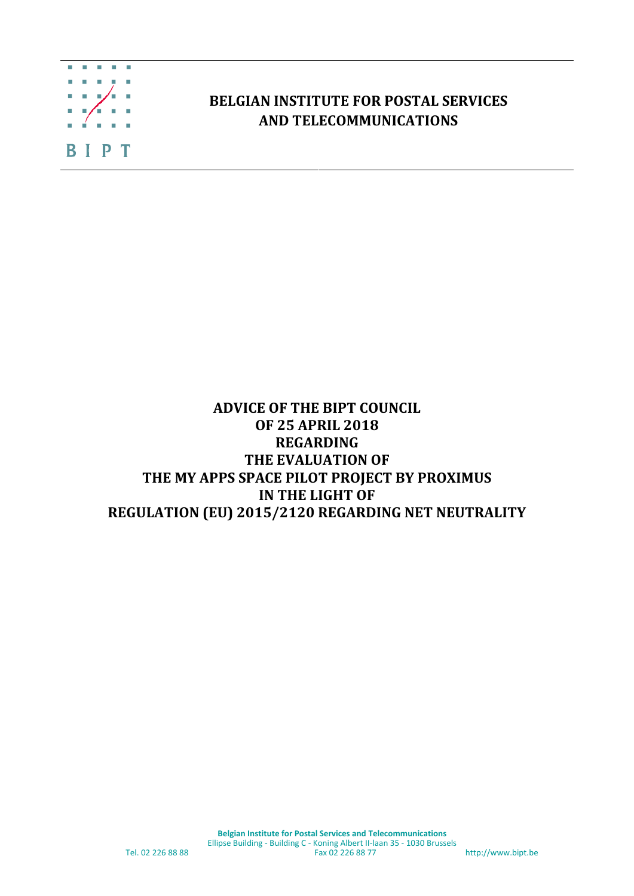

## **BELGIAN INSTITUTE FOR POSTAL SERVICES AND TELECOMMUNICATIONS**

## **ADVICE OF THE BIPT COUNCIL OF 25 APRIL 2018 REGARDING THE EVALUATION OF THE MY APPS SPACE PILOT PROJECT BY PROXIMUS IN THE LIGHT OF REGULATION (EU) 2015/2120 REGARDING NET NEUTRALITY**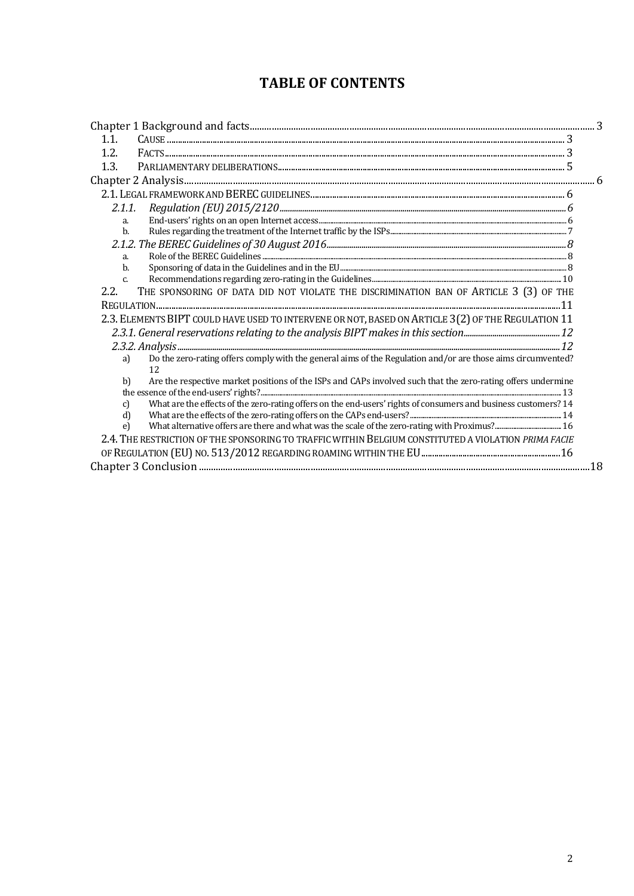# **TABLE OF CONTENTS**

| 1.1.                                                                                                                             |  |
|----------------------------------------------------------------------------------------------------------------------------------|--|
| 1.2.                                                                                                                             |  |
| 1.3.                                                                                                                             |  |
|                                                                                                                                  |  |
|                                                                                                                                  |  |
| 2.1.1.                                                                                                                           |  |
| a.                                                                                                                               |  |
| $b$                                                                                                                              |  |
|                                                                                                                                  |  |
| a.                                                                                                                               |  |
| b.                                                                                                                               |  |
| $\mathsf{C}$                                                                                                                     |  |
| THE SPONSORING OF DATA DID NOT VIOLATE THE DISCRIMINATION BAN OF ARTICLE 3 (3) OF THE<br>2.2.                                    |  |
|                                                                                                                                  |  |
| 2.3. ELEMENTS BIPT COULD HAVE USED TO INTERVENE OR NOT, BASED ON ARTICLE 3(2) OF THE REGULATION 11                               |  |
|                                                                                                                                  |  |
|                                                                                                                                  |  |
| Do the zero-rating offers comply with the general aims of the Regulation and/or are those aims circumvented?<br>a)<br>12         |  |
| Are the respective market positions of the ISPs and CAPs involved such that the zero-rating offers undermine<br>b)               |  |
|                                                                                                                                  |  |
| What are the effects of the zero-rating offers on the end-users' rights of consumers and business customers? 14<br>$\mathcal{C}$ |  |
| d                                                                                                                                |  |
| $\epsilon$                                                                                                                       |  |
| 2.4. THE RESTRICTION OF THE SPONSORING TO TRAFFIC WITHIN BELGIUM CONSTITUTED A VIOLATION PRIMA FACIE                             |  |
|                                                                                                                                  |  |
|                                                                                                                                  |  |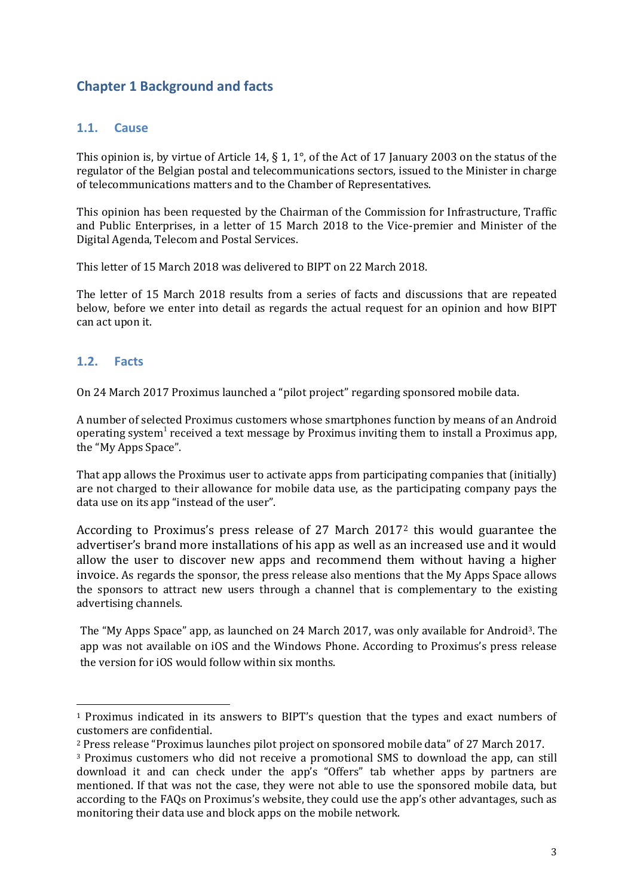## **Chapter 1 Background and facts**

#### **1.1. Cause**

This opinion is, by virtue of Article 14, § 1, 1°, of the Act of 17 January 2003 on the status of the regulator of the Belgian postal and telecommunications sectors, issued to the Minister in charge of telecommunications matters and to the Chamber of Representatives.

This opinion has been requested by the Chairman of the Commission for Infrastructure, Traffic and Public Enterprises, in a letter of 15 March 2018 to the Vice-premier and Minister of the Digital Agenda, Telecom and Postal Services.

This letter of 15 March 2018 was delivered to BIPT on 22 March 2018.

The letter of 15 March 2018 results from a series of facts and discussions that are repeated below, before we enter into detail as regards the actual request for an opinion and how BIPT can act upon it.

#### **1.2. Facts**

-

On 24 March 2017 Proximus launched a "pilot project" regarding sponsored mobile data.

A number of selected Proximus customers whose smartphones function by means of an Android operating system<sup>1</sup> received a text message by Proximus inviting them to install a Proximus app, the "My Apps Space".

That app allows the Proximus user to activate apps from participating companies that (initially) are not charged to their allowance for mobile data use, as the participating company pays the data use on its app "instead of the user".

According to Proximus's press release of 27 March 2017<sup>2</sup> this would guarantee the advertiser's brand more installations of his app as well as an increased use and it would allow the user to discover new apps and recommend them without having a higher invoice. As regards the sponsor, the press release also mentions that the My Apps Space allows the sponsors to attract new users through a channel that is complementary to the existing advertising channels.

The "My Apps Space" app, as launched on 24 March 2017, was only available for Android3. The app was not available on iOS and the Windows Phone. According to Proximus's press release the version for iOS would follow within six months.

<sup>1</sup> Proximus indicated in its answers to BIPT's question that the types and exact numbers of customers are confidential.

<sup>2</sup> Press release "Proximus launches pilot project on sponsored mobile data" of 27 March 2017.

<sup>3</sup> Proximus customers who did not receive a promotional SMS to download the app, can still download it and can check under the app's "Offers" tab whether apps by partners are mentioned. If that was not the case, they were not able to use the sponsored mobile data, but according to the FAQs on Proximus's website, they could use the app's other advantages, such as monitoring their data use and block apps on the mobile network.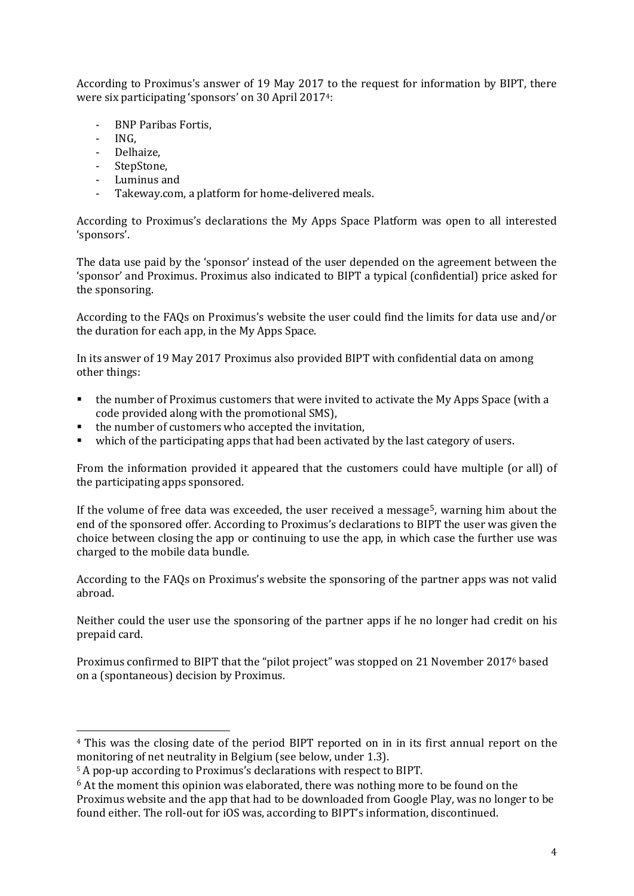According to Proximus's answer of 19 May 2017 to the request for information by BIPT, there were six participating 'sponsors' on 30 April 20174:

- BNP Paribas Fortis,
- ING,

.<br>-

- Delhaize,
- StepStone,
- Luminus and
- Takeway.com, a platform for home-delivered meals.

According to Proximus's declarations the My Apps Space Platform was open to all interested 'sponsors'.

The data use paid by the 'sponsor' instead of the user depended on the agreement between the 'sponsor' and Proximus. Proximus also indicated to BIPT a typical (confidential) price asked for the sponsoring.

According to the FAQs on Proximus's website the user could find the limits for data use and/or the duration for each app, in the My Apps Space.

In its answer of 19 May 2017 Proximus also provided BIPT with confidential data on among other things:

- the number of Proximus customers that were invited to activate the My Apps Space (with a code provided along with the promotional SMS),
- the number of customers who accepted the invitation,
- which of the participating apps that had been activated by the last category of users.

From the information provided it appeared that the customers could have multiple (or all) of the participating apps sponsored.

If the volume of free data was exceeded, the user received a message<sup>5</sup>, warning him about the end of the sponsored offer. According to Proximus's declarations to BIPT the user was given the choice between closing the app or continuing to use the app, in which case the further use was charged to the mobile data bundle.

According to the FAQs on Proximus's website the sponsoring of the partner apps was not valid abroad.

Neither could the user use the sponsoring of the partner apps if he no longer had credit on his prepaid card.

Proximus confirmed to BIPT that the "pilot project" was stopped on 21 November 2017<sup>6</sup> based on a (spontaneous) decision by Proximus.

<sup>4</sup> This was the closing date of the period BIPT reported on in in its first annual report on the monitoring of net neutrality in Belgium (see below, under 1.3).

<sup>5</sup> A pop-up according to Proximus's declarations with respect to BIPT.

<sup>&</sup>lt;sup>6</sup> At the moment this opinion was elaborated, there was nothing more to be found on the Proximus website and the app that had to be downloaded from Google Play, was no longer to be found either. The roll-out for iOS was, according to BIPT's information, discontinued.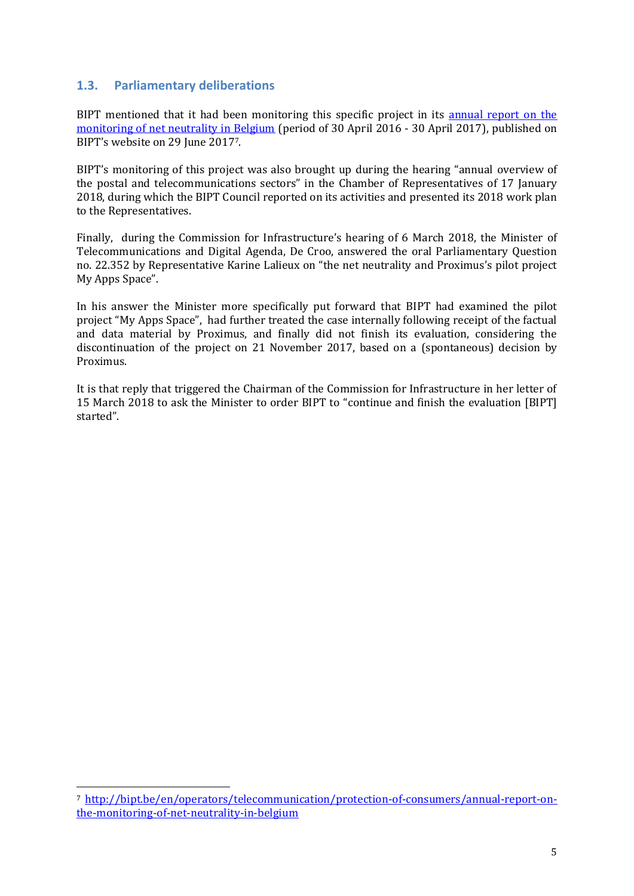#### **1.3. Parliamentary deliberations**

-

BIPT mentioned that it had been monitoring this specific project in its [annual report on the](http://bipt.be/en/operators/telecommunication/protection-of-consumers/annual-report-on-the-monitoring-of-net-neutrality-in-belgium)  [monitoring of net neutrality in Belgium](http://bipt.be/en/operators/telecommunication/protection-of-consumers/annual-report-on-the-monitoring-of-net-neutrality-in-belgium) (period of 30 April 2016 - 30 April 2017), published on BIPT's website on 29 June 20177.

BIPT's monitoring of this project was also brought up during the hearing "annual overview of the postal and telecommunications sectors" in the Chamber of Representatives of 17 January 2018, during which the BIPT Council reported on its activities and presented its 2018 work plan to the Representatives.

Finally, during the Commission for Infrastructure's hearing of 6 March 2018, the Minister of Telecommunications and Digital Agenda, De Croo, answered the oral Parliamentary Question no. 22.352 by Representative Karine Lalieux on "the net neutrality and Proximus's pilot project My Apps Space".

In his answer the Minister more specifically put forward that BIPT had examined the pilot project "My Apps Space", had further treated the case internally following receipt of the factual and data material by Proximus, and finally did not finish its evaluation, considering the discontinuation of the project on 21 November 2017, based on a (spontaneous) decision by Proximus.

It is that reply that triggered the Chairman of the Commission for Infrastructure in her letter of 15 March 2018 to ask the Minister to order BIPT to "continue and finish the evaluation [BIPT] started".

<sup>7</sup> [http://bipt.be/en/operators/telecommunication/protection-of-consumers/annual-report-on](http://bipt.be/en/operators/telecommunication/protection-of-consumers/annual-report-on-the-monitoring-of-net-neutrality-in-belgium)[the-monitoring-of-net-neutrality-in-belgium](http://bipt.be/en/operators/telecommunication/protection-of-consumers/annual-report-on-the-monitoring-of-net-neutrality-in-belgium)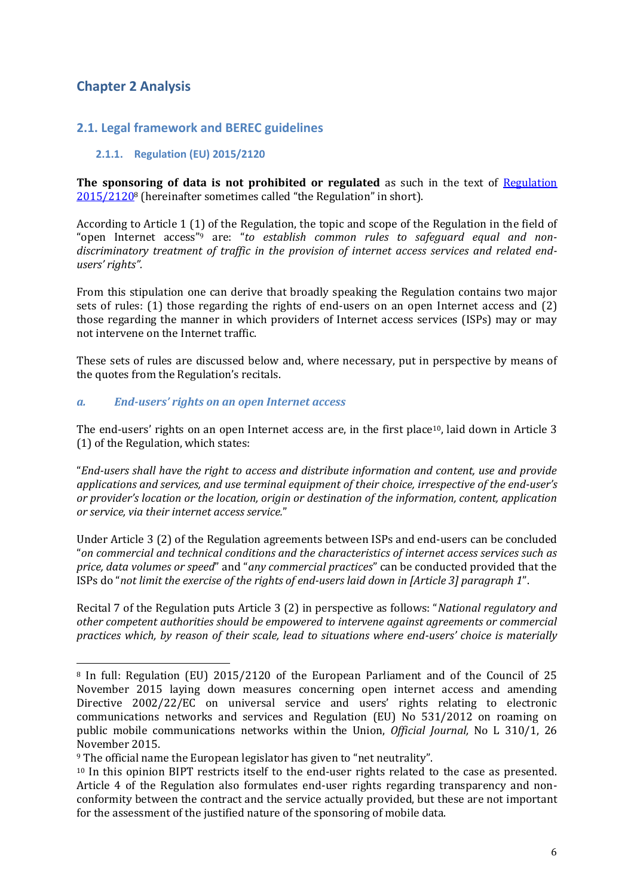## **Chapter 2 Analysis**

.<br>-

### **2.1. Legal framework and BEREC guidelines**

#### **2.1.1. Regulation (EU) 2015/2120**

**The sponsoring of data is not prohibited or regulated** as such in the text of Regulation [2015/2120](http://eur-lex.europa.eu/legal-content/EN/TXT/PDF/?uri=CELEX:32015R2120)<sup>8</sup> (hereinafter sometimes called "the Regulation" in short).

According to Article 1 (1) of the Regulation, the topic and scope of the Regulation in the field of "open Internet access"<sup>9</sup> are: "*to establish common rules to safeguard equal and nondiscriminatory treatment of traffic in the provision of internet access services and related endusers' rights".* 

From this stipulation one can derive that broadly speaking the Regulation contains two major sets of rules: (1) those regarding the rights of end-users on an open Internet access and (2) those regarding the manner in which providers of Internet access services (ISPs) may or may not intervene on the Internet traffic.

These sets of rules are discussed below and, where necessary, put in perspective by means of the quotes from the Regulation's recitals.

#### *a. End-users' rights on an open Internet access*

The end-users' rights on an open Internet access are, in the first place<sup>10</sup>, laid down in Article 3 (1) of the Regulation, which states:

"*End-users shall have the right to access and distribute information and content, use and provide applications and services, and use terminal equipment of their choice, irrespective of the end-user's or provider's location or the location, origin or destination of the information, content, application or service, via their internet access service.*"

Under Article 3 (2) of the Regulation agreements between ISPs and end-users can be concluded "*on commercial and technical conditions and the characteristics of internet access services such as price, data volumes or speed*" and "*any commercial practices*" can be conducted provided that the ISPs do "*not limit the exercise of the rights of end-users laid down in [Article 3] paragraph 1*".

Recital 7 of the Regulation puts Article 3 (2) in perspective as follows: "*National regulatory and other competent authorities should be empowered to intervene against agreements or commercial practices which, by reason of their scale, lead to situations where end-users' choice is materially* 

<sup>8</sup> In full: Regulation (EU) 2015/2120 of the European Parliament and of the Council of 25 November 2015 laying down measures concerning open internet access and amending Directive 2002/22/EC on universal service and users' rights relating to electronic communications networks and services and Regulation (EU) No 531/2012 on roaming on public mobile communications networks within the Union, *Official Journal,* No L 310/1, 26 November 2015.

<sup>9</sup> The official name the European legislator has given to "net neutrality".

<sup>10</sup> In this opinion BIPT restricts itself to the end-user rights related to the case as presented. Article 4 of the Regulation also formulates end-user rights regarding transparency and nonconformity between the contract and the service actually provided, but these are not important for the assessment of the justified nature of the sponsoring of mobile data.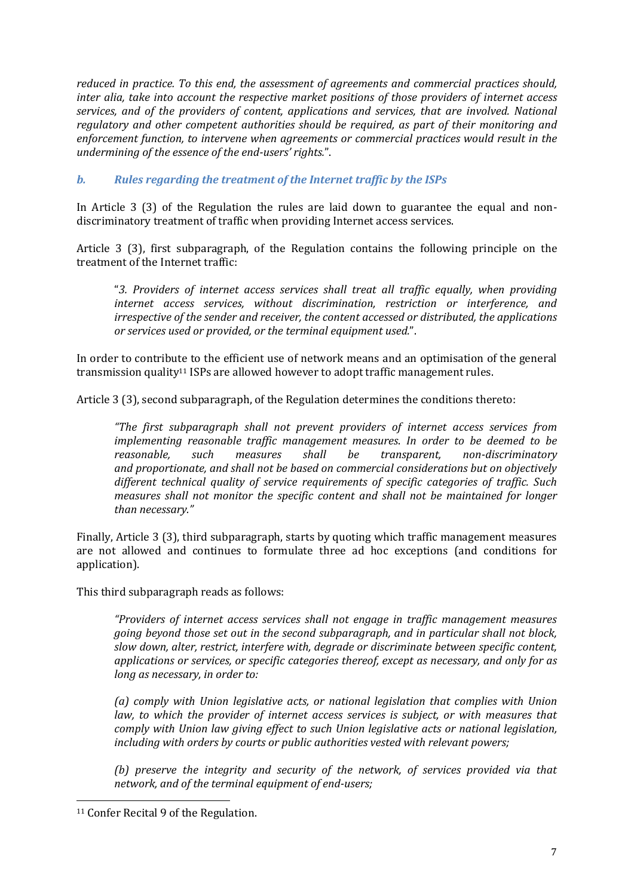*reduced in practice. To this end, the assessment of agreements and commercial practices should, inter alia, take into account the respective market positions of those providers of internet access services, and of the providers of content, applications and services, that are involved. National regulatory and other competent authorities should be required, as part of their monitoring and enforcement function, to intervene when agreements or commercial practices would result in the undermining of the essence of the end-users' rights.*".

#### *b. Rules regarding the treatment of the Internet traffic by the ISPs*

In Article 3 (3) of the Regulation the rules are laid down to guarantee the equal and nondiscriminatory treatment of traffic when providing Internet access services.

Article 3 (3), first subparagraph, of the Regulation contains the following principle on the treatment of the Internet traffic:

"*3. Providers of internet access services shall treat all traffic equally, when providing internet access services, without discrimination, restriction or interference, and irrespective of the sender and receiver, the content accessed or distributed, the applications or services used or provided, or the terminal equipment used.*".

In order to contribute to the efficient use of network means and an optimisation of the general transmission quality<sup>11</sup> ISPs are allowed however to adopt traffic management rules.

Article 3 (3), second subparagraph, of the Regulation determines the conditions thereto:

*"The first subparagraph shall not prevent providers of internet access services from implementing reasonable traffic management measures*. *In order to be deemed to be reasonable, such measures shall be transparent, non-discriminatory and proportionate, and shall not be based on commercial considerations but on objectively different technical quality of service requirements of specific categories of traffic. Such measures shall not monitor the specific content and shall not be maintained for longer than necessary."*

Finally, Article 3 (3), third subparagraph, starts by quoting which traffic management measures are not allowed and continues to formulate three ad hoc exceptions (and conditions for application).

This third subparagraph reads as follows:

*"Providers of internet access services shall not engage in traffic management measures going beyond those set out in the second subparagraph, and in particular shall not block, slow down, alter, restrict, interfere with, degrade or discriminate between specific content, applications or services, or specific categories thereof, except as necessary, and only for as long as necessary, in order to:* 

*(a) comply with Union legislative acts, or national legislation that complies with Union law, to which the provider of internet access services is subject, or with measures that comply with Union law giving effect to such Union legislative acts or national legislation, including with orders by courts or public authorities vested with relevant powers;*

*(b) preserve the integrity and security of the network, of services provided via that network, and of the terminal equipment of end-users;* 

.<br>-

<sup>11</sup> Confer Recital 9 of the Regulation.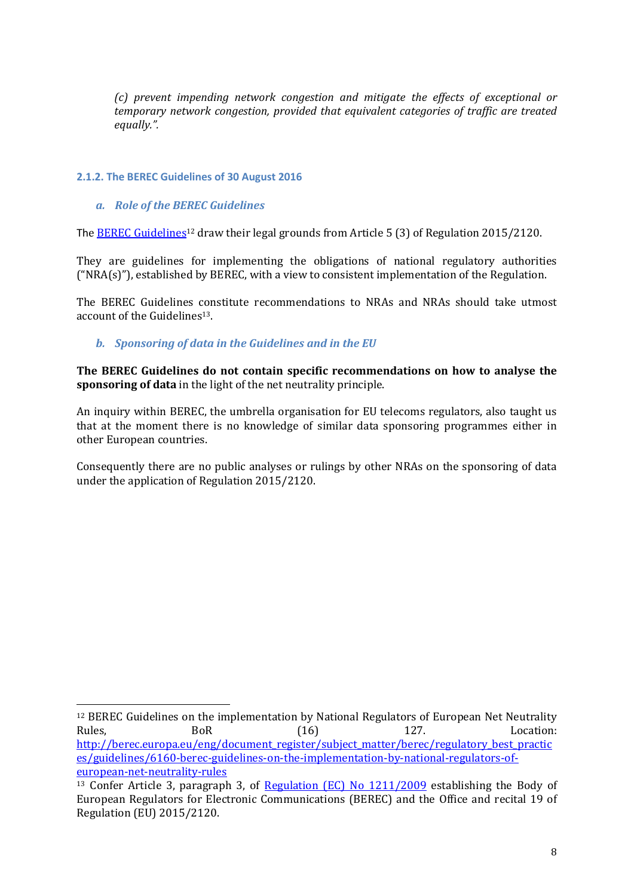*(c) prevent impending network congestion and mitigate the effects of exceptional or temporary network congestion, provided that equivalent categories of traffic are treated equally.".*

#### **2.1.2. The BEREC Guidelines of 30 August 2016**

*a. Role of the BEREC Guidelines*

-

The [BEREC Guidelines](http://berec.europa.eu/eng/document_register/subject_matter/berec/regulatory_best_practices/guidelines/6160-berec-guidelines-on-the-implementation-by-national-regulators-of-european-net-neutrality-rules)<sup>12</sup> draw their legal grounds from Article 5 (3) of Regulation 2015/2120.

They are guidelines for implementing the obligations of national regulatory authorities  $("NRA(s)]$ , established by BEREC, with a view to consistent implementation of the Regulation.

The BEREC Guidelines constitute recommendations to NRAs and NRAs should take utmost account of the Guidelines13.

*b. Sponsoring of data in the Guidelines and in the EU*

**The BEREC Guidelines do not contain specific recommendations on how to analyse the sponsoring of data** in the light of the net neutrality principle.

An inquiry within BEREC, the umbrella organisation for EU telecoms regulators, also taught us that at the moment there is no knowledge of similar data sponsoring programmes either in other European countries.

Consequently there are no public analyses or rulings by other NRAs on the sponsoring of data under the application of Regulation 2015/2120.

<sup>12</sup> BEREC Guidelines on the implementation by National Regulators of European Net Neutrality Rules, BoR (16) 127. Location: [http://berec.europa.eu/eng/document\\_register/subject\\_matter/berec/regulatory\\_best\\_practic](http://berec.europa.eu/eng/document_register/subject_matter/berec/regulatory_best_practices/guidelines/6160-berec-guidelines-on-the-implementation-by-national-regulators-of-european-net-neutrality-rules) [es/guidelines/6160-berec-guidelines-on-the-implementation-by-national-regulators-of](http://berec.europa.eu/eng/document_register/subject_matter/berec/regulatory_best_practices/guidelines/6160-berec-guidelines-on-the-implementation-by-national-regulators-of-european-net-neutrality-rules)[european-net-neutrality-rules](http://berec.europa.eu/eng/document_register/subject_matter/berec/regulatory_best_practices/guidelines/6160-berec-guidelines-on-the-implementation-by-national-regulators-of-european-net-neutrality-rules)

<sup>&</sup>lt;sup>13</sup> Confer Article 3, paragraph 3, of [Regulation \(EC\) No 1211/2009](http://eur-lex.europa.eu/LexUriServ/LexUriServ.do?uri=OJ:L:2009:337:0001:0010:EN:PDF) establishing the Body of European Regulators for Electronic Communications (BEREC) and the Office and recital 19 of Regulation (EU) 2015/2120.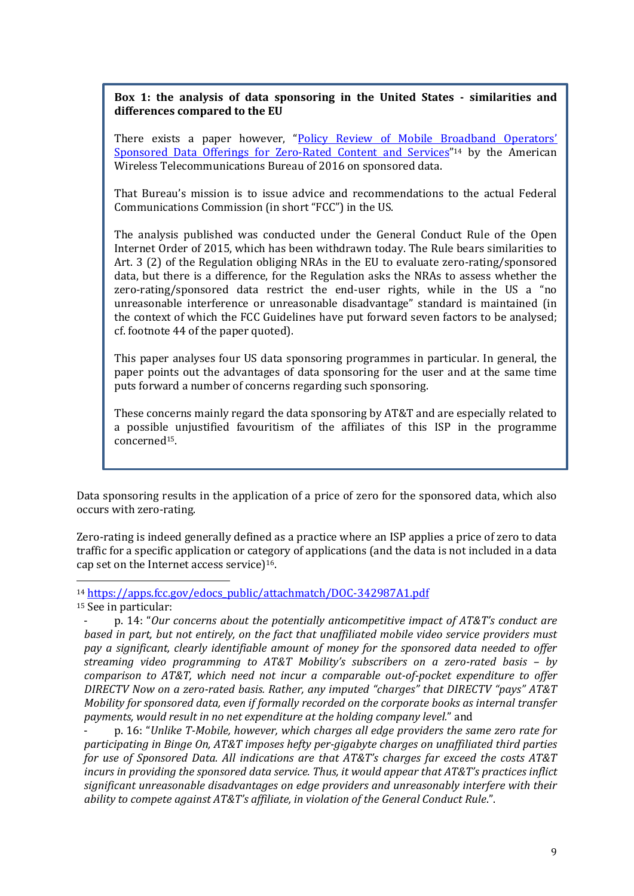#### **Box 1: the analysis of data sponsoring in the United States - similarities and differences compared to the EU**

There exists a paper however, "Policy Review of Mobile Broadband Operators' [Sponsored Data Offerings for Zero-Rated Content and Services](https://apps.fcc.gov/edocs_public/attachmatch/DOC-342987A1.pdf)"<sup>14</sup> by the American Wireless Telecommunications Bureau of 2016 on sponsored data.

That Bureau's mission is to issue advice and recommendations to the actual Federal Communications Commission (in short "FCC") in the US.

The analysis published was conducted under the General Conduct Rule of the Open Internet Order of 2015, which has been withdrawn today. The Rule bears similarities to Art. 3 (2) of the Regulation obliging NRAs in the EU to evaluate zero-rating/sponsored data, but there is a difference, for the Regulation asks the NRAs to assess whether the zero-rating/sponsored data restrict the end-user rights, while in the US a "no unreasonable interference or unreasonable disadvantage" standard is maintained (in the context of which the FCC Guidelines have put forward seven factors to be analysed; cf. footnote 44 of the paper quoted).

This paper analyses four US data sponsoring programmes in particular. In general, the paper points out the advantages of data sponsoring for the user and at the same time puts forward a number of concerns regarding such sponsoring.

These concerns mainly regard the data sponsoring by AT&T and are especially related to a possible unjustified favouritism of the affiliates of this ISP in the programme concerned15.

Data sponsoring results in the application of a price of zero for the sponsored data, which also occurs with zero-rating.

Zero-rating is indeed generally defined as a practice where an ISP applies a price of zero to data traffic for a specific application or category of applications (and the data is not included in a data cap set on the Internet access service)16.

<sup>14</sup> [https://apps.fcc.gov/edocs\\_public/attachmatch/DOC-342987A1.pdf](https://apps.fcc.gov/edocs_public/attachmatch/DOC-342987A1.pdf)

<sup>15</sup> See in particular:

-

- p. 16: "*Unlike T-Mobile, however, which charges all edge providers the same zero rate for participating in Binge On, AT&T imposes hefty per-gigabyte charges on unaffiliated third parties for use of Sponsored Data. All indications are that AT&T's charges far exceed the costs AT&T incurs in providing the sponsored data service. Thus, it would appear that AT&T's practices inflict significant unreasonable disadvantages on edge providers and unreasonably interfere with their ability to compete against AT&T's affiliate, in violation of the General Conduct Rule*.".

<sup>-</sup> p. 14: "*Our concerns about the potentially anticompetitive impact of AT&T's conduct are based in part, but not entirely, on the fact that unaffiliated mobile video service providers must pay a significant, clearly identifiable amount of money for the sponsored data needed to offer streaming video programming to AT&T Mobility's subscribers on a zero-rated basis – by comparison to AT&T, which need not incur a comparable out-of-pocket expenditure to offer DIRECTV Now on a zero-rated basis. Rather, any imputed "charges" that DIRECTV "pays" AT&T Mobility for sponsored data, even if formally recorded on the corporate books as internal transfer payments, would result in no net expenditure at the holding company level.*" and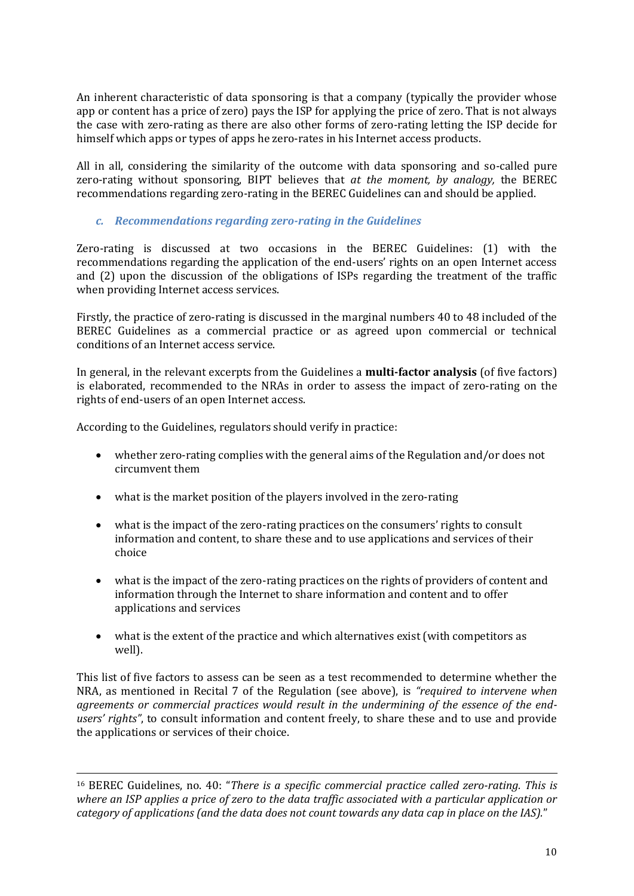An inherent characteristic of data sponsoring is that a company (typically the provider whose app or content has a price of zero) pays the ISP for applying the price of zero. That is not always the case with zero-rating as there are also other forms of zero-rating letting the ISP decide for himself which apps or types of apps he zero-rates in his Internet access products.

All in all, considering the similarity of the outcome with data sponsoring and so-called pure zero-rating without sponsoring, BIPT believes that *at the moment, by analogy,* the BEREC recommendations regarding zero-rating in the BEREC Guidelines can and should be applied.

#### *c. Recommendations regarding zero-rating in the Guidelines*

Zero-rating is discussed at two occasions in the BEREC Guidelines: (1) with the recommendations regarding the application of the end-users' rights on an open Internet access and (2) upon the discussion of the obligations of ISPs regarding the treatment of the traffic when providing Internet access services.

Firstly, the practice of zero-rating is discussed in the marginal numbers 40 to 48 included of the BEREC Guidelines as a commercial practice or as agreed upon commercial or technical conditions of an Internet access service.

In general, in the relevant excerpts from the Guidelines a **multi-factor analysis** (of five factors) is elaborated, recommended to the NRAs in order to assess the impact of zero-rating on the rights of end-users of an open Internet access.

According to the Guidelines, regulators should verify in practice:

- whether zero-rating complies with the general aims of the Regulation and/or does not circumvent them
- what is the market position of the players involved in the zero-rating
- what is the impact of the zero-rating practices on the consumers' rights to consult information and content, to share these and to use applications and services of their choice
- what is the impact of the zero-rating practices on the rights of providers of content and information through the Internet to share information and content and to offer applications and services
- what is the extent of the practice and which alternatives exist (with competitors as well).

This list of five factors to assess can be seen as a test recommended to determine whether the NRA, as mentioned in Recital 7 of the Regulation (see above), is *"required to intervene when agreements or commercial practices would result in the undermining of the essence of the endusers' rights"*, to consult information and content freely, to share these and to use and provide the applications or services of their choice.

-<sup>16</sup> BEREC Guidelines, no. 40: "*There is a specific commercial practice called zero-rating. This is where an ISP applies a price of zero to the data traffic associated with a particular application or category of applications (and the data does not count towards any data cap in place on the IAS).*"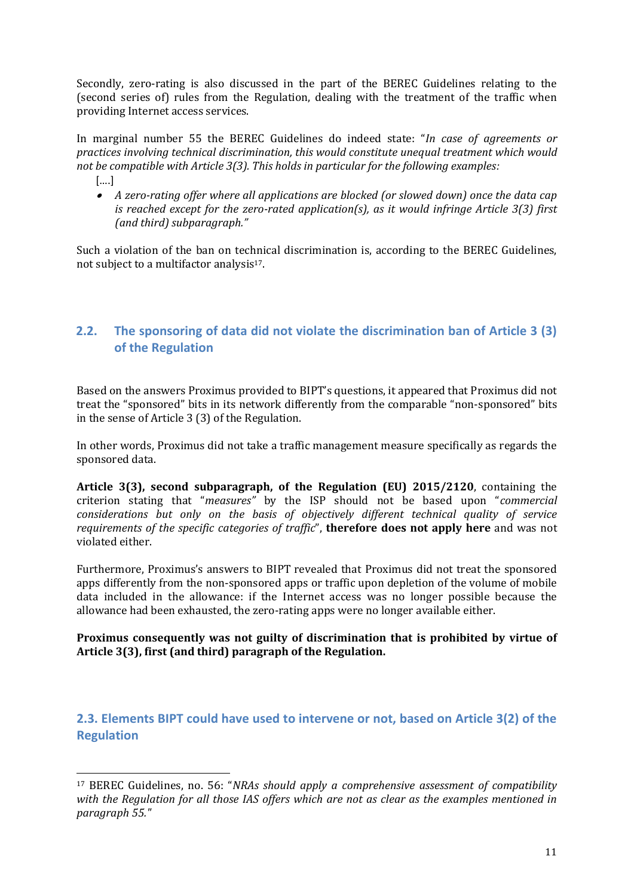Secondly, zero-rating is also discussed in the part of the BEREC Guidelines relating to the (second series of) rules from the Regulation, dealing with the treatment of the traffic when providing Internet access services.

In marginal number 55 the BEREC Guidelines do indeed state: "*In case of agreements or practices involving technical discrimination, this would constitute unequal treatment which would not be compatible with Article 3(3). This holds in particular for the following examples:*

[….]

-

 *A zero-rating offer where all applications are blocked (or slowed down) once the data cap is reached except for the zero-rated application(s), as it would infringe Article 3(3) first (and third) subparagraph."*

Such a violation of the ban on technical discrimination is, according to the BEREC Guidelines, not subject to a multifactor analysis<sup>17</sup>.

### **2.2. The sponsoring of data did not violate the discrimination ban of Article 3 (3) of the Regulation**

Based on the answers Proximus provided to BIPT's questions, it appeared that Proximus did not treat the "sponsored" bits in its network differently from the comparable "non-sponsored" bits in the sense of Article 3 (3) of the Regulation.

In other words, Proximus did not take a traffic management measure specifically as regards the sponsored data.

**Article 3(3), second subparagraph, of the Regulation (EU) 2015/2120**, containing the criterion stating that "*measures"* by the ISP should not be based upon "*commercial considerations but only on the basis of objectively different technical quality of service requirements of the specific categories of traffic*", **therefore does not apply here** and was not violated either.

Furthermore, Proximus's answers to BIPT revealed that Proximus did not treat the sponsored apps differently from the non-sponsored apps or traffic upon depletion of the volume of mobile data included in the allowance: if the Internet access was no longer possible because the allowance had been exhausted, the zero-rating apps were no longer available either.

#### **Proximus consequently was not guilty of discrimination that is prohibited by virtue of Article 3(3), first (and third) paragraph of the Regulation.**

**2.3. Elements BIPT could have used to intervene or not, based on Article 3(2) of the Regulation** 

<sup>17</sup> BEREC Guidelines, no. 56: "*NRAs should apply a comprehensive assessment of compatibility with the Regulation for all those IAS offers which are not as clear as the examples mentioned in paragraph 55."*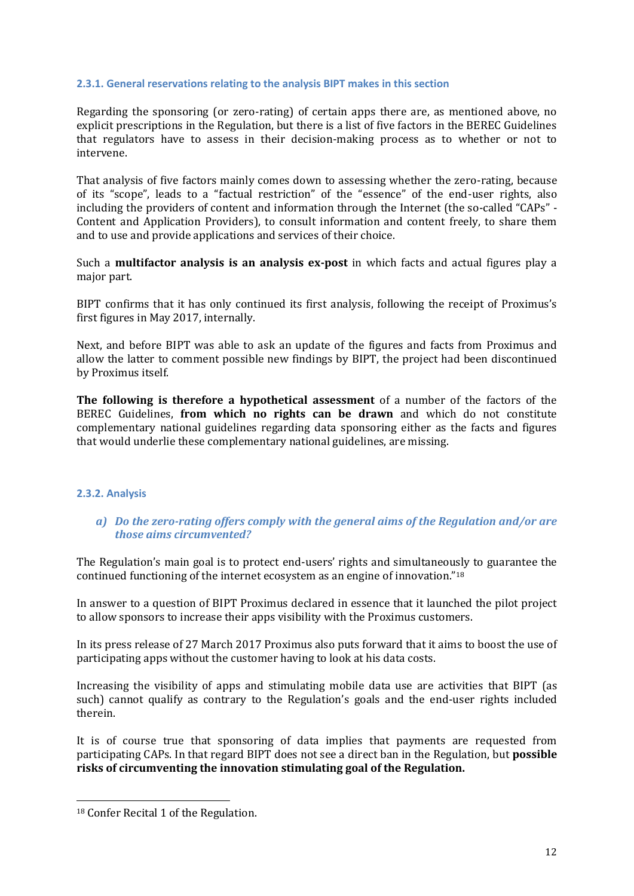#### **2.3.1. General reservations relating to the analysis BIPT makes in this section**

Regarding the sponsoring (or zero-rating) of certain apps there are, as mentioned above, no explicit prescriptions in the Regulation, but there is a list of five factors in the BEREC Guidelines that regulators have to assess in their decision-making process as to whether or not to intervene.

That analysis of five factors mainly comes down to assessing whether the zero-rating, because of its "scope", leads to a "factual restriction" of the "essence" of the end-user rights, also including the providers of content and information through the Internet (the so-called "CAPs" - Content and Application Providers), to consult information and content freely, to share them and to use and provide applications and services of their choice.

Such a **multifactor analysis is an analysis ex-post** in which facts and actual figures play a major part.

BIPT confirms that it has only continued its first analysis, following the receipt of Proximus's first figures in May 2017, internally.

Next, and before BIPT was able to ask an update of the figures and facts from Proximus and allow the latter to comment possible new findings by BIPT, the project had been discontinued by Proximus itself.

**The following is therefore a hypothetical assessment** of a number of the factors of the BEREC Guidelines, **from which no rights can be drawn** and which do not constitute complementary national guidelines regarding data sponsoring either as the facts and figures that would underlie these complementary national guidelines, are missing.

#### **2.3.2. Analysis**

#### *a) Do the zero-rating offers comply with the general aims of the Regulation and/or are those aims circumvented?*

The Regulation's main goal is to protect end-users' rights and simultaneously to guarantee the continued functioning of the internet ecosystem as an engine of innovation."<sup>18</sup>

In answer to a question of BIPT Proximus declared in essence that it launched the pilot project to allow sponsors to increase their apps visibility with the Proximus customers.

In its press release of 27 March 2017 Proximus also puts forward that it aims to boost the use of participating apps without the customer having to look at his data costs.

Increasing the visibility of apps and stimulating mobile data use are activities that BIPT (as such) cannot qualify as contrary to the Regulation's goals and the end-user rights included therein.

It is of course true that sponsoring of data implies that payments are requested from participating CAPs. In that regard BIPT does not see a direct ban in the Regulation, but **possible risks of circumventing the innovation stimulating goal of the Regulation.** 

.<br>-

<sup>18</sup> Confer Recital 1 of the Regulation.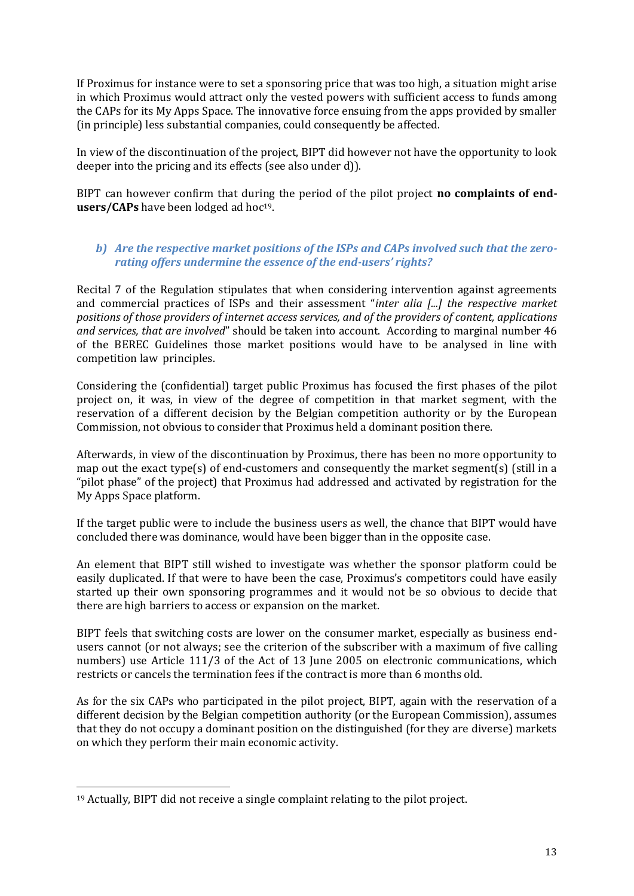If Proximus for instance were to set a sponsoring price that was too high, a situation might arise in which Proximus would attract only the vested powers with sufficient access to funds among the CAPs for its My Apps Space. The innovative force ensuing from the apps provided by smaller (in principle) less substantial companies, could consequently be affected.

In view of the discontinuation of the project, BIPT did however not have the opportunity to look deeper into the pricing and its effects (see also under d)).

BIPT can however confirm that during the period of the pilot project **no complaints of endusers/CAPs** have been lodged ad hoc<sup>19</sup>.

#### *b) Are the respective market positions of the ISPs and CAPs involved such that the zerorating offers undermine the essence of the end-users' rights?*

Recital 7 of the Regulation stipulates that when considering intervention against agreements and commercial practices of ISPs and their assessment "*inter alia [...] the respective market positions of those providers of internet access services, and of the providers of content, applications and services, that are involved*" should be taken into account. According to marginal number 46 of the BEREC Guidelines those market positions would have to be analysed in line with competition law principles.

Considering the (confidential) target public Proximus has focused the first phases of the pilot project on, it was, in view of the degree of competition in that market segment, with the reservation of a different decision by the Belgian competition authority or by the European Commission, not obvious to consider that Proximus held a dominant position there.

Afterwards, in view of the discontinuation by Proximus, there has been no more opportunity to map out the exact type(s) of end-customers and consequently the market segment(s) (still in a "pilot phase" of the project) that Proximus had addressed and activated by registration for the My Apps Space platform.

If the target public were to include the business users as well, the chance that BIPT would have concluded there was dominance, would have been bigger than in the opposite case.

An element that BIPT still wished to investigate was whether the sponsor platform could be easily duplicated. If that were to have been the case, Proximus's competitors could have easily started up their own sponsoring programmes and it would not be so obvious to decide that there are high barriers to access or expansion on the market.

BIPT feels that switching costs are lower on the consumer market, especially as business endusers cannot (or not always; see the criterion of the subscriber with a maximum of five calling numbers) use Article 111/3 of the Act of 13 June 2005 on electronic communications, which restricts or cancels the termination fees if the contract is more than 6 months old.

As for the six CAPs who participated in the pilot project, BIPT, again with the reservation of a different decision by the Belgian competition authority (or the European Commission), assumes that they do not occupy a dominant position on the distinguished (for they are diverse) markets on which they perform their main economic activity.

-

<sup>19</sup> Actually, BIPT did not receive a single complaint relating to the pilot project.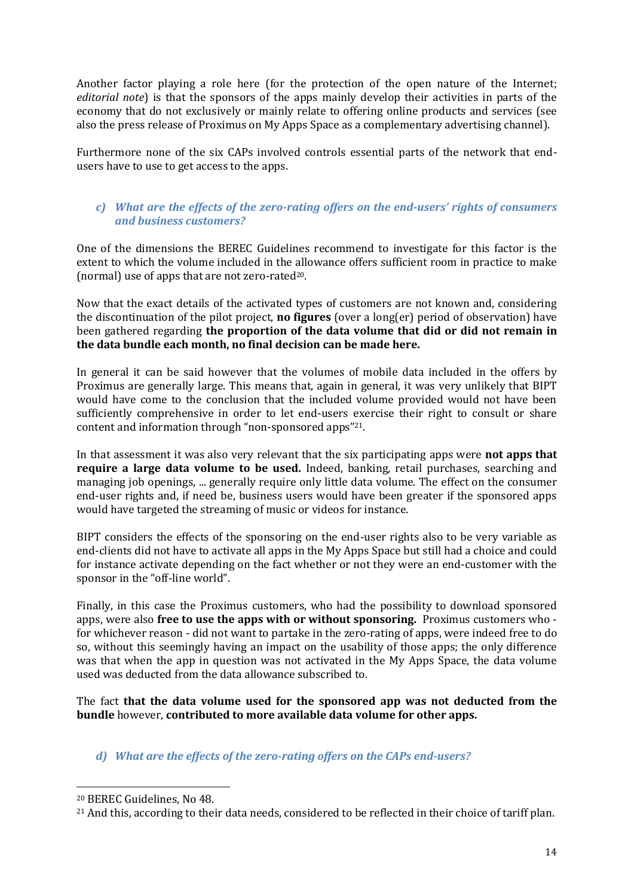Another factor playing a role here (for the protection of the open nature of the Internet; *editorial note*) is that the sponsors of the apps mainly develop their activities in parts of the economy that do not exclusively or mainly relate to offering online products and services (see also the press release of Proximus on My Apps Space as a complementary advertising channel).

Furthermore none of the six CAPs involved controls essential parts of the network that endusers have to use to get access to the apps.

#### *c) What are the effects of the zero-rating offers on the end-users' rights of consumers and business customers?*

One of the dimensions the BEREC Guidelines recommend to investigate for this factor is the extent to which the volume included in the allowance offers sufficient room in practice to make (normal) use of apps that are not zero-rated<sup>20</sup>.

Now that the exact details of the activated types of customers are not known and, considering the discontinuation of the pilot project, **no figures** (over a long(er) period of observation) have been gathered regarding **the proportion of the data volume that did or did not remain in the data bundle each month, no final decision can be made here.**

In general it can be said however that the volumes of mobile data included in the offers by Proximus are generally large. This means that, again in general, it was very unlikely that BIPT would have come to the conclusion that the included volume provided would not have been sufficiently comprehensive in order to let end-users exercise their right to consult or share content and information through "non-sponsored apps"21.

In that assessment it was also very relevant that the six participating apps were **not apps that require a large data volume to be used.** Indeed, banking, retail purchases, searching and managing job openings, ... generally require only little data volume. The effect on the consumer end-user rights and, if need be, business users would have been greater if the sponsored apps would have targeted the streaming of music or videos for instance.

BIPT considers the effects of the sponsoring on the end-user rights also to be very variable as end-clients did not have to activate all apps in the My Apps Space but still had a choice and could for instance activate depending on the fact whether or not they were an end-customer with the sponsor in the "off-line world".

Finally, in this case the Proximus customers, who had the possibility to download sponsored apps, were also **free to use the apps with or without sponsoring.** Proximus customers who for whichever reason - did not want to partake in the zero-rating of apps, were indeed free to do so, without this seemingly having an impact on the usability of those apps; the only difference was that when the app in question was not activated in the My Apps Space, the data volume used was deducted from the data allowance subscribed to.

The fact **that the data volume used for the sponsored app was not deducted from the bundle** however, **contributed to more available data volume for other apps.**

#### *d) What are the effects of the zero-rating offers on the CAPs end-users?*

-

<sup>20</sup> BEREC Guidelines, No 48.

<sup>21</sup> And this, according to their data needs, considered to be reflected in their choice of tariff plan.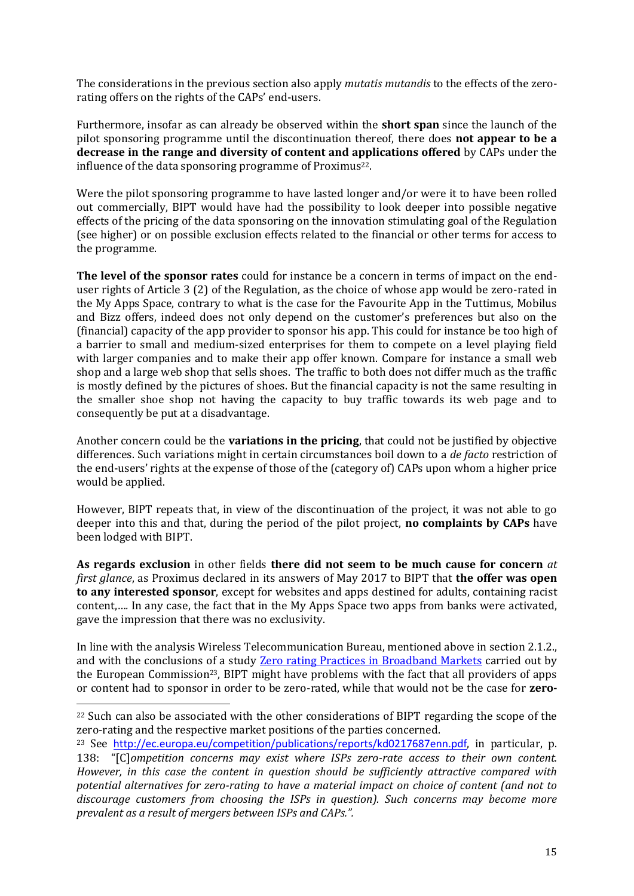The considerations in the previous section also apply *mutatis mutandis* to the effects of the zerorating offers on the rights of the CAPs' end-users.

Furthermore, insofar as can already be observed within the **short span** since the launch of the pilot sponsoring programme until the discontinuation thereof, there does **not appear to be a decrease in the range and diversity of content and applications offered** by CAPs under the influence of the data sponsoring programme of Proximus<sup>22</sup>.

Were the pilot sponsoring programme to have lasted longer and/or were it to have been rolled out commercially, BIPT would have had the possibility to look deeper into possible negative effects of the pricing of the data sponsoring on the innovation stimulating goal of the Regulation (see higher) or on possible exclusion effects related to the financial or other terms for access to the programme.

**The level of the sponsor rates** could for instance be a concern in terms of impact on the enduser rights of Article 3 (2) of the Regulation, as the choice of whose app would be zero-rated in the My Apps Space, contrary to what is the case for the Favourite App in the Tuttimus, Mobilus and Bizz offers, indeed does not only depend on the customer's preferences but also on the (financial) capacity of the app provider to sponsor his app. This could for instance be too high of a barrier to small and medium-sized enterprises for them to compete on a level playing field with larger companies and to make their app offer known. Compare for instance a small web shop and a large web shop that sells shoes. The traffic to both does not differ much as the traffic is mostly defined by the pictures of shoes. But the financial capacity is not the same resulting in the smaller shoe shop not having the capacity to buy traffic towards its web page and to consequently be put at a disadvantage.

Another concern could be the **variations in the pricing**, that could not be justified by objective differences. Such variations might in certain circumstances boil down to a *de facto* restriction of the end-users' rights at the expense of those of the (category of) CAPs upon whom a higher price would be applied.

However, BIPT repeats that, in view of the discontinuation of the project, it was not able to go deeper into this and that, during the period of the pilot project, **no complaints by CAPs** have been lodged with BIPT.

**As regards exclusion** in other fields **there did not seem to be much cause for concern** *at first glance*, as Proximus declared in its answers of May 2017 to BIPT that **the offer was open to any interested sponsor**, except for websites and apps destined for adults, containing racist content,…*.* In any case, the fact that in the My Apps Space two apps from banks were activated, gave the impression that there was no exclusivity.

In line with the analysis Wireless Telecommunication Bureau, mentioned above in section 2.1.2., and with the conclusions of a study **Zero rating Practices in Broadband Markets** carried out by the European Commission<sup>23</sup>, BIPT might have problems with the fact that all providers of apps or content had to sponsor in order to be zero-rated, while that would not be the case for **zero-**

<u>.</u>

<sup>&</sup>lt;sup>22</sup> Such can also be associated with the other considerations of BIPT regarding the scope of the zero-rating and the respective market positions of the parties concerned.

<sup>23</sup> See <http://ec.europa.eu/competition/publications/reports/kd0217687enn.pdf>, in particular, p. 138: "[C]*ompetition concerns may exist where ISPs zero-rate access to their own content. However, in this case the content in question should be sufficiently attractive compared with potential alternatives for zero-rating to have a material impact on choice of content (and not to discourage customers from choosing the ISPs in question). Such concerns may become more prevalent as a result of mergers between ISPs and CAPs.".*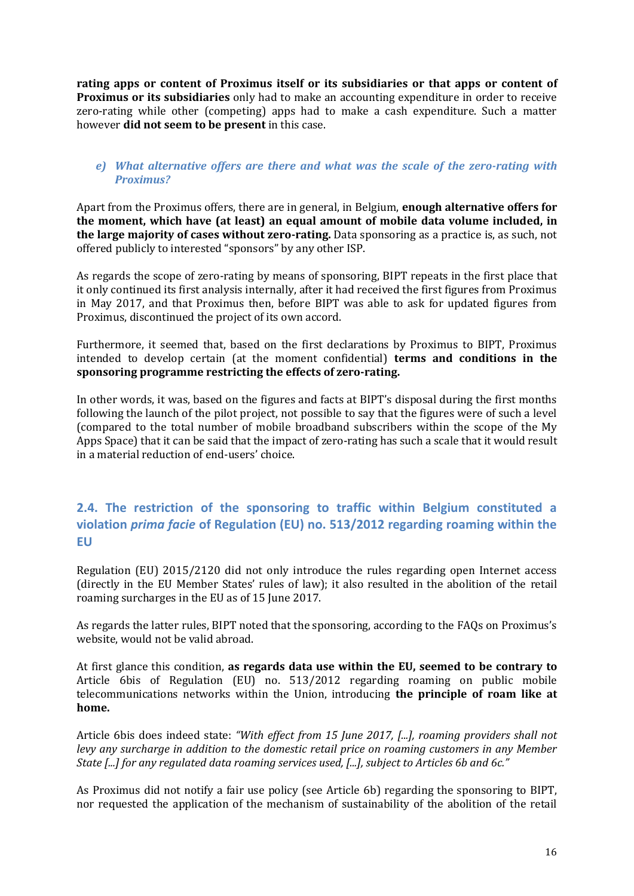**rating apps or content of Proximus itself or its subsidiaries or that apps or content of Proximus or its subsidiaries** only had to make an accounting expenditure in order to receive zero-rating while other (competing) apps had to make a cash expenditure. Such a matter however **did not seem to be present** in this case.

#### *e) What alternative offers are there and what was the scale of the zero-rating with Proximus?*

Apart from the Proximus offers, there are in general, in Belgium, **enough alternative offers for the moment, which have (at least) an equal amount of mobile data volume included, in the large majority of cases without zero-rating.** Data sponsoring as a practice is, as such, not offered publicly to interested "sponsors" by any other ISP.

As regards the scope of zero-rating by means of sponsoring, BIPT repeats in the first place that it only continued its first analysis internally, after it had received the first figures from Proximus in May 2017, and that Proximus then, before BIPT was able to ask for updated figures from Proximus, discontinued the project of its own accord.

Furthermore, it seemed that, based on the first declarations by Proximus to BIPT, Proximus intended to develop certain (at the moment confidential) **terms and conditions in the sponsoring programme restricting the effects of zero-rating.** 

In other words, it was, based on the figures and facts at BIPT's disposal during the first months following the launch of the pilot project, not possible to say that the figures were of such a level (compared to the total number of mobile broadband subscribers within the scope of the My Apps Space) that it can be said that the impact of zero-rating has such a scale that it would result in a material reduction of end-users' choice.

### **2.4. The restriction of the sponsoring to traffic within Belgium constituted a violation** *prima facie* **of Regulation (EU) no. 513/2012 regarding roaming within the EU**

Regulation (EU) 2015/2120 did not only introduce the rules regarding open Internet access (directly in the EU Member States' rules of law); it also resulted in the abolition of the retail roaming surcharges in the EU as of 15 June 2017.

As regards the latter rules, BIPT noted that the sponsoring, according to the FAQs on Proximus's website, would not be valid abroad.

At first glance this condition, **as regards data use within the EU, seemed to be contrary to** Article 6bis of Regulation (EU) no. 513/2012 regarding roaming on public mobile telecommunications networks within the Union, introducing **the principle of roam like at home.**

Article 6bis does indeed state: *"With effect from 15 June 2017, [...], roaming providers shall not levy any surcharge in addition to the domestic retail price on roaming customers in any Member State [...] for any regulated data roaming services used, [...], subject to Articles 6b and 6c."*

As Proximus did not notify a fair use policy (see Article 6b) regarding the sponsoring to BIPT, nor requested the application of the mechanism of sustainability of the abolition of the retail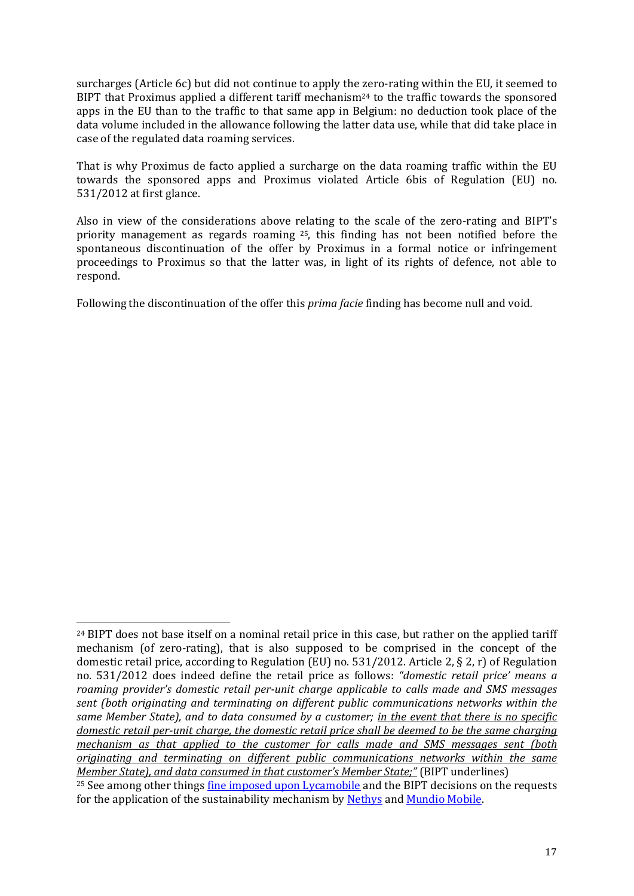surcharges (Article 6c) but did not continue to apply the zero-rating within the EU, it seemed to BIPT that Proximus applied a different tariff mechanism<sup>24</sup> to the traffic towards the sponsored apps in the EU than to the traffic to that same app in Belgium: no deduction took place of the data volume included in the allowance following the latter data use, while that did take place in case of the regulated data roaming services.

That is why Proximus de facto applied a surcharge on the data roaming traffic within the EU towards the sponsored apps and Proximus violated Article 6bis of Regulation (EU) no. 531/2012 at first glance.

Also in view of the considerations above relating to the scale of the zero-rating and BIPT's priority management as regards roaming <sup>25</sup>, this finding has not been notified before the spontaneous discontinuation of the offer by Proximus in a formal notice or infringement proceedings to Proximus so that the latter was, in light of its rights of defence, not able to respond.

Following the discontinuation of the offer this *prima facie* finding has become null and void*.*

<sup>&</sup>lt;u>.</u> <sup>24</sup> BIPT does not base itself on a nominal retail price in this case, but rather on the applied tariff mechanism (of zero-rating), that is also supposed to be comprised in the concept of the domestic retail price, according to Regulation (EU) no. 531/2012. Article 2, § 2, r) of Regulation no. 531/2012 does indeed define the retail price as follows: *"domestic retail price' means a roaming provider's domestic retail per-unit charge applicable to calls made and SMS messages sent (both originating and terminating on different public communications networks within the same Member State), and to data consumed by a customer; in the event that there is no specific domestic retail per-unit charge, the domestic retail price shall be deemed to be the same charging mechanism as that applied to the customer for calls made and SMS messages sent (both originating and terminating on different public communications networks within the same Member State), and data consumed in that customer's Member State;"* (BIPT underlines)

<sup>&</sup>lt;sup>25</sup> See among other things <u>fine imposed upon Lycamobile</u> and the BIPT decisions on the requests for the application of the sustainability mechanism by [Nethys](http://www.bipt.be/public/files/nl/22248/Decision_Nethys_RLAH.pdf) an[d Mundio Mobile.](http://www.bipt.be/public/files/nl/22288/Besluit_roaming_Mundio_Telecom.pdf)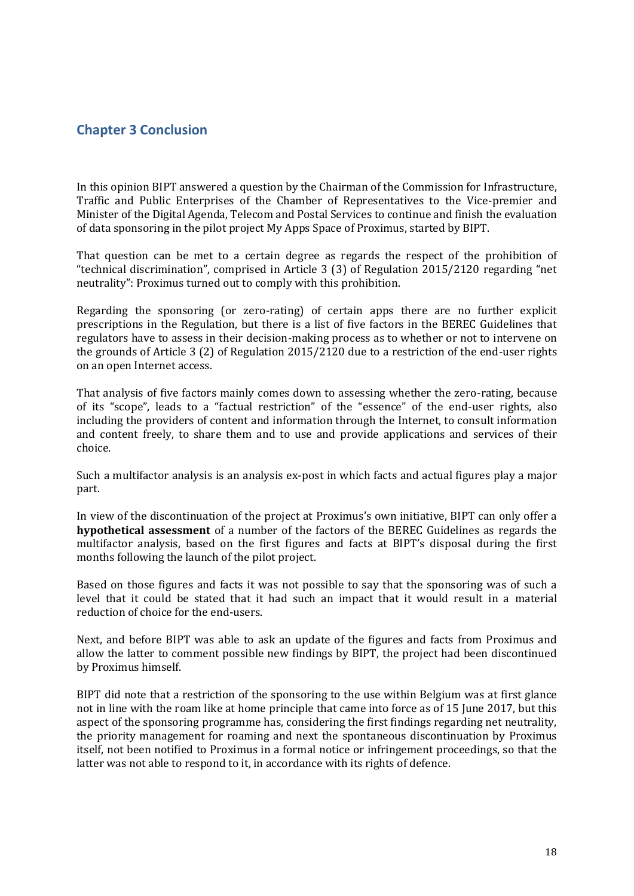### **Chapter 3 Conclusion**

In this opinion BIPT answered a question by the Chairman of the Commission for Infrastructure, Traffic and Public Enterprises of the Chamber of Representatives to the Vice-premier and Minister of the Digital Agenda, Telecom and Postal Services to continue and finish the evaluation of data sponsoring in the pilot project My Apps Space of Proximus, started by BIPT.

That question can be met to a certain degree as regards the respect of the prohibition of "technical discrimination", comprised in Article 3 (3) of Regulation 2015/2120 regarding "net neutrality": Proximus turned out to comply with this prohibition.

Regarding the sponsoring (or zero-rating) of certain apps there are no further explicit prescriptions in the Regulation, but there is a list of five factors in the BEREC Guidelines that regulators have to assess in their decision-making process as to whether or not to intervene on the grounds of Article 3 (2) of Regulation 2015/2120 due to a restriction of the end-user rights on an open Internet access.

That analysis of five factors mainly comes down to assessing whether the zero-rating, because of its "scope", leads to a "factual restriction" of the "essence" of the end-user rights, also including the providers of content and information through the Internet, to consult information and content freely, to share them and to use and provide applications and services of their choice.

Such a multifactor analysis is an analysis ex-post in which facts and actual figures play a major part.

In view of the discontinuation of the project at Proximus's own initiative, BIPT can only offer a **hypothetical assessment** of a number of the factors of the BEREC Guidelines as regards the multifactor analysis, based on the first figures and facts at BIPT's disposal during the first months following the launch of the pilot project.

Based on those figures and facts it was not possible to say that the sponsoring was of such a level that it could be stated that it had such an impact that it would result in a material reduction of choice for the end-users.

Next, and before BIPT was able to ask an update of the figures and facts from Proximus and allow the latter to comment possible new findings by BIPT, the project had been discontinued by Proximus himself.

BIPT did note that a restriction of the sponsoring to the use within Belgium was at first glance not in line with the roam like at home principle that came into force as of 15 June 2017, but this aspect of the sponsoring programme has, considering the first findings regarding net neutrality, the priority management for roaming and next the spontaneous discontinuation by Proximus itself, not been notified to Proximus in a formal notice or infringement proceedings, so that the latter was not able to respond to it, in accordance with its rights of defence.